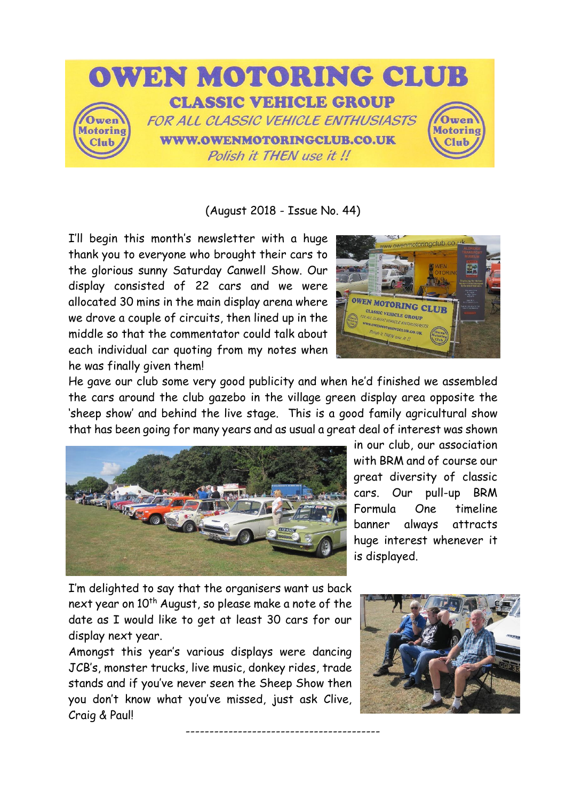

(August 2018 - Issue No. 44)

I'll begin this month's newsletter with a huge thank you to everyone who brought their cars to the glorious sunny Saturday Canwell Show. Our display consisted of 22 cars and we were allocated 30 mins in the main display arena where we drove a couple of circuits, then lined up in the middle so that the commentator could talk about each individual car quoting from my notes when he was finally given them!



He gave our club some very good publicity and when he'd finished we assembled the cars around the club gazebo in the village green display area opposite the 'sheep show' and behind the live stage. This is a good family agricultural show that has been going for many years and as usual a great deal of interest was shown

-----------------------------------------



in our club, our association with BRM and of course our great diversity of classic cars. Our pull-up BRM Formula One timeline banner always attracts huge interest whenever it is displayed.

I'm delighted to say that the organisers want us back next year on 10<sup>th</sup> August, so please make a note of the date as I would like to get at least 30 cars for our display next year.

Amongst this year's various displays were dancing JCB's, monster trucks, live music, donkey rides, trade stands and if you've never seen the Sheep Show then you don't know what you've missed, just ask Clive, Craig & Paul!

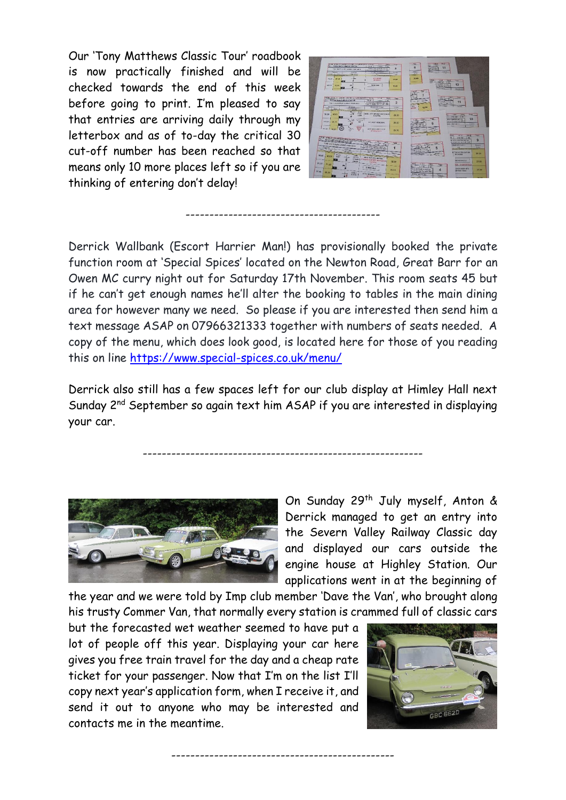Our 'Tony Matthews Classic Tour' roadbook is now practically finished and will be checked towards the end of this week before going to print. I'm pleased to say that entries are arriving daily through my letterbox and as of to-day the critical 30 cut-off number has been reached so that means only 10 more places left so if you are thinking of entering don't delay!



Derrick Wallbank (Escort Harrier Man!) has provisionally booked the private function room at 'Special Spices' located on the Newton Road, Great Barr for an Owen MC curry night out for Saturday 17th November. This room seats 45 but if he can't get enough names he'll alter the booking to tables in the main dining area for however many we need. So please if you are interested then send him a text message ASAP on 07966321333 together with numbers of seats needed. A copy of the menu, which does look good, is located here for those of you reading this on line<https://www.special-spices.co.uk/menu/>

-----------------------------------------

Derrick also still has a few spaces left for our club display at Himley Hall next Sunday 2<sup>nd</sup> September so again text him ASAP if you are interested in displaying your car.

-----------------------------------------------------------



On Sunday 29<sup>th</sup> July myself, Anton & Derrick managed to get an entry into the Severn Valley Railway Classic day and displayed our cars outside the engine house at Highley Station. Our applications went in at the beginning of

the year and we were told by Imp club member 'Dave the Van', who brought along his trusty Commer Van, that normally every station is crammed full of classic cars

-----------------------------------------------

but the forecasted wet weather seemed to have put a lot of people off this year. Displaying your car here gives you free train travel for the day and a cheap rate ticket for your passenger. Now that I'm on the list I'll copy next year's application form, when I receive it, and send it out to anyone who may be interested and contacts me in the meantime.

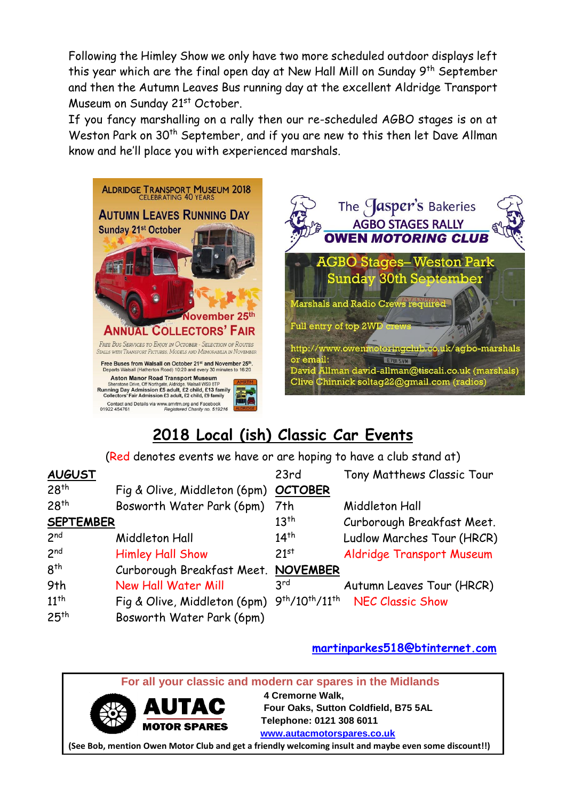Following the Himley Show we only have two more scheduled outdoor displays left this year which are the final open day at New Hall Mill on Sunday 9<sup>th</sup> September and then the Autumn Leaves Bus running day at the excellent Aldridge Transport Museum on Sunday 21<sup>st</sup> October.

If you fancy marshalling on a rally then our re-scheduled AGBO stages is on at Weston Park on 30<sup>th</sup> September, and if you are new to this then let Dave Allman know and he'll place you with experienced marshals.





## **2018 Local (ish) Classic Car Events**

(Red denotes events we have or are hoping to have a club stand at)

| <b>AUGUST</b>    |                                      | 23rd                     | Tony Matthews Classic Tour |
|------------------|--------------------------------------|--------------------------|----------------------------|
| 28 <sup>th</sup> | Fig & Olive, Middleton (6pm) OCTOBER |                          |                            |
| 28 <sup>th</sup> | Bosworth Water Park (6pm) 7th        |                          | Middleton Hall             |
| <b>SEPTEMBER</b> |                                      | $13^{th}$                | Curborough Breakfast Meet. |
| 2 <sup>nd</sup>  | Middleton Hall                       | $14^{th}$                | Ludlow Marches Tour (HRCR) |
| 2 <sup>nd</sup>  | <b>Himley Hall Show</b>              | 21 <sup>st</sup>         | Aldridge Transport Museum  |
| 8 <sup>th</sup>  | Curborough Breakfast Meet. NOVEMBER  |                          |                            |
| 9th              | New Hall Water Mill                  | 3 <sup>rd</sup>          | Autumn Leaves Tour (HRCR)  |
| $11^{th}$        | Fig & Olive, Middleton (6pm)         | $9^{th}/10^{th}/11^{th}$ | <b>NEC Classic Show</b>    |
| 25 <sup>th</sup> | Bosworth Water Park (6pm)            |                          |                            |

**[martinparkes518@btinternet.com](mailto:martinparkes518@btinternet.com)**

 **For all your classic and modern car spares in the Midlands** 



 **4 Cremorne Walk, Four Oaks, Sutton Coldfield, B75 5AL MOTOR SPARES** Telephone: 0121 308 6011  **[www.autacmotorspares.co.uk](http://www.autacmotorspares.co.uk/)**

**(See Bob, mention Owen Motor Club and get a friendly welcoming insult and maybe even some discount!!)**